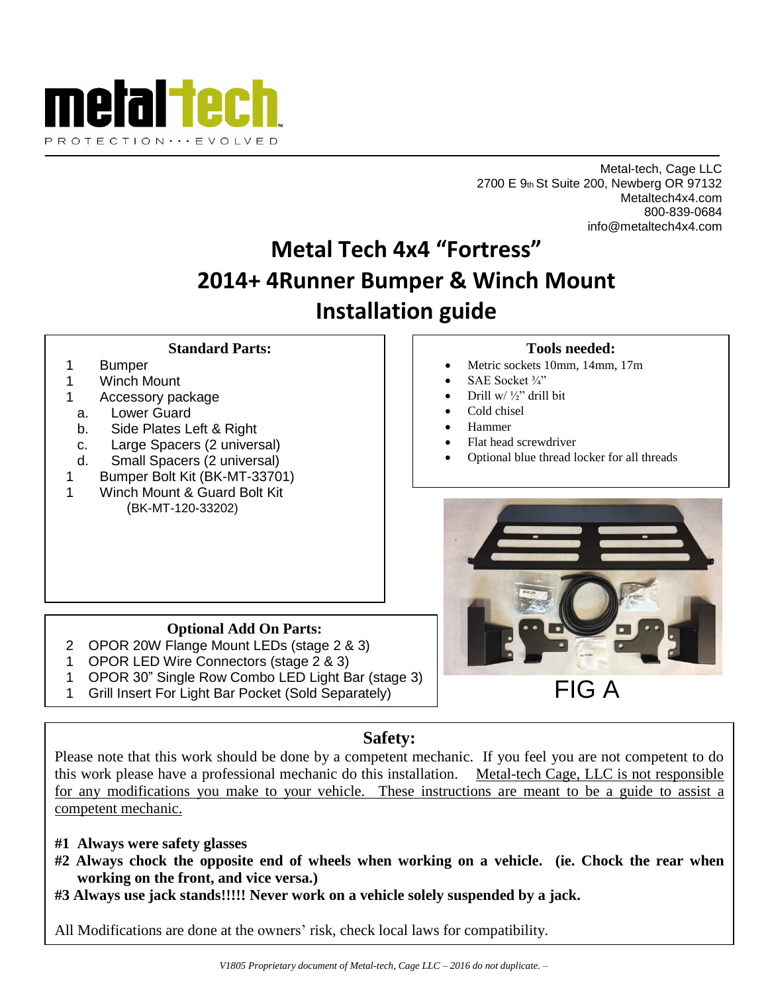

Metal-tech, Cage LLC 2700 E 9th St Suite 200, Newberg OR 97132 Metaltech4x4.com 800-839-0684 info@metaltech4x4.com

# **Metal Tech 4x4 "Fortress" 2014+ 4Runner Bumper & Winch Mount Installation guide**

#### **Standard Parts:**

#### 1 Bumper

- 1 Winch Mount
- 1 Accessory package
	- a. Lower Guard
- b. Side Plates Left & Right
- c. Large Spacers (2 universal)
- d. Small Spacers (2 universal)
- 1 Bumper Bolt Kit (BK-MT-33701)
- 1 Winch Mount & Guard Bolt Kit (BK-MT-120-33202)

#### **Tools needed:**

- Metric sockets 10mm, 14mm, 17m
- SAE Socket 3/4"
- Drill w/ ½" drill bit
- Cold chisel
- Hammer
- Flat head screwdriver
- Optional blue thread locker for all threads



FIG A

### **Optional Add On Parts:**

- 2 OPOR 20W Flange Mount LEDs (stage 2 & 3)
- 1 OPOR LED Wire Connectors (stage 2 & 3)
- 1 OPOR 30" Single Row Combo LED Light Bar (stage 3)
- 1 Grill Insert For Light Bar Pocket (Sold Separately)

## **Safety:**

Please note that this work should be done by a competent mechanic. If you feel you are not competent to do this work please have a professional mechanic do this installation. Metal-tech Cage, LLC is not responsible for any modifications you make to your vehicle. These instructions are meant to be a guide to assist a competent mechanic.

- **#1 Always were safety glasses**
- #2 Always chock the opposite end of wheels when working on a vehicle. (ie. Chock the rear when **working on the front, and vice versa.)**
- **#3 Always use jack stands!!!!! Never work on a vehicle solely suspended by a jack.**

All Modifications are done at the owners' risk, check local laws for compatibility.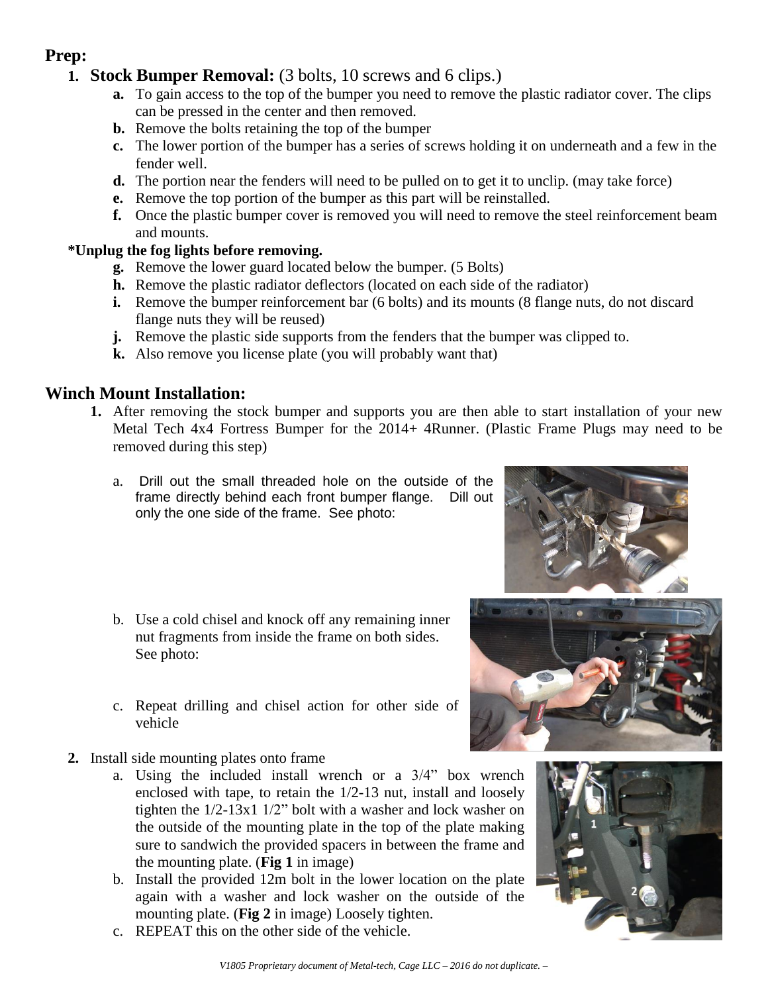## **Prep:**

## **1. Stock Bumper Removal:** (3 bolts, 10 screws and 6 clips.)

- **a.** To gain access to the top of the bumper you need to remove the plastic radiator cover. The clips can be pressed in the center and then removed.
- **b.** Remove the bolts retaining the top of the bumper
- **c.** The lower portion of the bumper has a series of screws holding it on underneath and a few in the fender well.
- **d.** The portion near the fenders will need to be pulled on to get it to unclip. (may take force)
- **e.** Remove the top portion of the bumper as this part will be reinstalled.
- **f.** Once the plastic bumper cover is removed you will need to remove the steel reinforcement beam and mounts.

### **\*Unplug the fog lights before removing.**

- **g.** Remove the lower guard located below the bumper. (5 Bolts)
- **h.** Remove the plastic radiator deflectors (located on each side of the radiator)
- **i.** Remove the bumper reinforcement bar (6 bolts) and its mounts (8 flange nuts, do not discard flange nuts they will be reused)
- **j.** Remove the plastic side supports from the fenders that the bumper was clipped to.
- **k.** Also remove you license plate (you will probably want that)

## **Winch Mount Installation:**

- **1.** After removing the stock bumper and supports you are then able to start installation of your new Metal Tech 4x4 Fortress Bumper for the 2014+ 4Runner. (Plastic Frame Plugs may need to be removed during this step)
	- a. Drill out the small threaded hole on the outside of the frame directly behind each front bumper flange. Dill out only the one side of the frame. See photo:
	- b. Use a cold chisel and knock off any remaining inner nut fragments from inside the frame on both sides. See photo:
	- c. Repeat drilling and chisel action for other side of vehicle
- **2.** Install side mounting plates onto frame
	- a. Using the included install wrench or a 3/4" box wrench enclosed with tape, to retain the 1/2-13 nut, install and loosely tighten the 1/2-13x1 1/2" bolt with a washer and lock washer on the outside of the mounting plate in the top of the plate making sure to sandwich the provided spacers in between the frame and the mounting plate. (**Fig 1** in image)
	- b. Install the provided 12m bolt in the lower location on the plate again with a washer and lock washer on the outside of the mounting plate. (**Fig 2** in image) Loosely tighten.
	- c. REPEAT this on the other side of the vehicle.